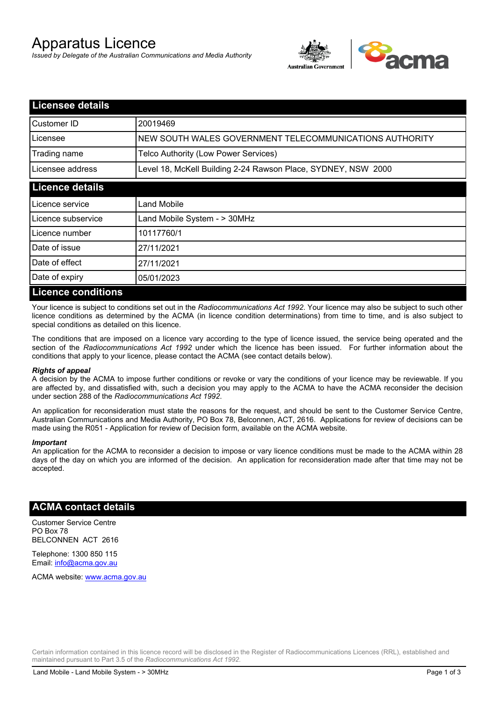# Apparatus Licence

*Issued by Delegate of the Australian Communications and Media Authority*



| <b>Licensee details</b>   |                                                               |  |
|---------------------------|---------------------------------------------------------------|--|
| Customer ID               | 20019469                                                      |  |
| Licensee                  | NEW SOUTH WALES GOVERNMENT TELECOMMUNICATIONS AUTHORITY       |  |
| Trading name              | Telco Authority (Low Power Services)                          |  |
| Licensee address          | Level 18, McKell Building 2-24 Rawson Place, SYDNEY, NSW 2000 |  |
| <b>Licence details</b>    |                                                               |  |
| l Licence service         | Land Mobile                                                   |  |
| Licence subservice        | Land Mobile System - > 30MHz                                  |  |
| Licence number            | 10117760/1                                                    |  |
| Date of issue             | 27/11/2021                                                    |  |
| Date of effect            | 27/11/2021                                                    |  |
| Date of expiry            | 05/01/2023                                                    |  |
| <b>Licence conditions</b> |                                                               |  |

Your licence is subject to conditions set out in the *Radiocommunications Act 1992*. Your licence may also be subject to such other licence conditions as determined by the ACMA (in licence condition determinations) from time to time, and is also subject to special conditions as detailed on this licence.

The conditions that are imposed on a licence vary according to the type of licence issued, the service being operated and the section of the *Radiocommunications Act 1992* under which the licence has been issued. For further information about the conditions that apply to your licence, please contact the ACMA (see contact details below).

#### *Rights of appeal*

A decision by the ACMA to impose further conditions or revoke or vary the conditions of your licence may be reviewable. If you are affected by, and dissatisfied with, such a decision you may apply to the ACMA to have the ACMA reconsider the decision under section 288 of the *Radiocommunications Act 1992*.

An application for reconsideration must state the reasons for the request, and should be sent to the Customer Service Centre, Australian Communications and Media Authority, PO Box 78, Belconnen, ACT, 2616. Applications for review of decisions can be made using the R051 - Application for review of Decision form, available on the ACMA website.

#### *Important*

An application for the ACMA to reconsider a decision to impose or vary licence conditions must be made to the ACMA within 28 days of the day on which you are informed of the decision. An application for reconsideration made after that time may not be accepted.

### **ACMA contact details**

Customer Service Centre PO Box 78 BELCONNEN ACT 2616

Telephone: 1300 850 115 Email: info@acma.gov.au

ACMA website: www.acma.gov.au

Certain information contained in this licence record will be disclosed in the Register of Radiocommunications Licences (RRL), established and maintained pursuant to Part 3.5 of the *Radiocommunications Act 1992.*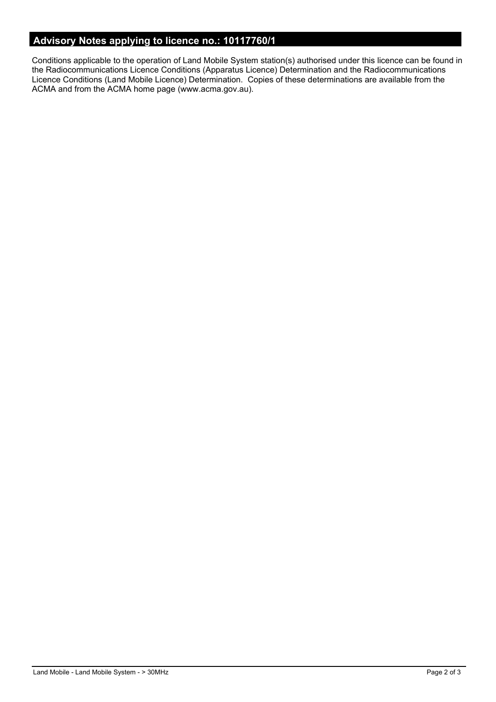# **Advisory Notes applying to licence no.: 10117760/1**

Conditions applicable to the operation of Land Mobile System station(s) authorised under this licence can be found in the Radiocommunications Licence Conditions (Apparatus Licence) Determination and the Radiocommunications Licence Conditions (Land Mobile Licence) Determination. Copies of these determinations are available from the ACMA and from the ACMA home page (www.acma.gov.au).